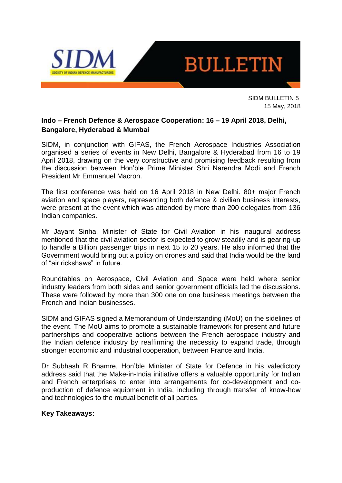

SIDM BULLETIN 5 15 May, 2018

### **Indo – French Defence & Aerospace Cooperation: 16 – 19 April 2018, Delhi, Bangalore, Hyderabad & Mumbai**

SIDM, in conjunction with GIFAS, the French Aerospace Industries Association organised a series of events in New Delhi, Bangalore & Hyderabad from 16 to 19 April 2018, drawing on the very constructive and promising feedback resulting from the discussion between Hon'ble Prime Minister Shri Narendra Modi and French President Mr Emmanuel Macron.

The first conference was held on 16 April 2018 in New Delhi. 80+ major French aviation and space players, representing both defence & civilian business interests, were present at the event which was attended by more than 200 delegates from 136 Indian companies.

Mr Jayant Sinha, Minister of State for Civil Aviation in his inaugural address mentioned that the civil aviation sector is expected to grow steadily and is gearing-up to handle a Billion passenger trips in next 15 to 20 years. He also informed that the Government would bring out a policy on drones and said that India would be the land of "air rickshaws" in future.

Roundtables on Aerospace, Civil Aviation and Space were held where senior industry leaders from both sides and senior government officials led the discussions. These were followed by more than 300 one on one business meetings between the French and Indian businesses.

SIDM and GIFAS signed a Memorandum of Understanding (MoU) on the sidelines of the event. The MoU aims to promote a sustainable framework for present and future partnerships and cooperative actions between the French aerospace industry and the Indian defence industry by reaffirming the necessity to expand trade, through stronger economic and industrial cooperation, between France and India.

Dr Subhash R Bhamre, Hon'ble Minister of State for Defence in his valedictory address said that the Make-in-India initiative offers a valuable opportunity for Indian and French enterprises to enter into arrangements for co-development and coproduction of defence equipment in India, including through transfer of know-how and technologies to the mutual benefit of all parties.

#### **Key Takeaways:**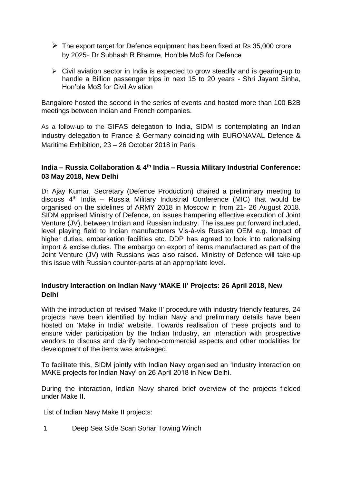- $\triangleright$  The export target for Defence equipment has been fixed at Rs 35,000 crore by 2025- Dr Subhash R Bhamre, Hon'ble MoS for Defence
- ➢ Civil aviation sector in India is expected to grow steadily and is gearing-up to handle a Billion passenger trips in next 15 to 20 years - Shri Jayant Sinha, Hon'ble MoS for Civil Aviation

Bangalore hosted the second in the series of events and hosted more than 100 B2B meetings between Indian and French companies.

As a follow-up to the GIFAS delegation to India, SIDM is contemplating an Indian industry delegation to France & Germany coinciding with EURONAVAL Defence & Maritime Exhibition, 23 – 26 October 2018 in Paris.

### **India – Russia Collaboration & 4 th India – Russia Military Industrial Conference: 03 May 2018, New Delhi**

Dr Ajay Kumar, Secretary (Defence Production) chaired a preliminary meeting to discuss 4th India – Russia Military Industrial Conference (MIC) that would be organised on the sidelines of ARMY 2018 in Moscow in from 21- 26 August 2018. SIDM apprised Ministry of Defence, on issues hampering effective execution of Joint Venture (JV), between Indian and Russian industry. The issues put forward included, level playing field to Indian manufacturers Vis-à-vis Russian OEM e.g. Impact of higher duties, embarkation facilities etc. DDP has agreed to look into rationalising import & excise duties. The embargo on export of items manufactured as part of the Joint Venture (JV) with Russians was also raised. Ministry of Defence will take-up this issue with Russian counter-parts at an appropriate level.

### **Industry Interaction on Indian Navy 'MAKE II' Projects: 26 April 2018, New Delhi**

With the introduction of revised 'Make II' procedure with industry friendly features, 24 projects have been identified by Indian Navy and preliminary details have been hosted on 'Make in India' website. Towards realisation of these projects and to ensure wider participation by the Indian Industry, an interaction with prospective vendors to discuss and clarify techno-commercial aspects and other modalities for development of the items was envisaged.

To facilitate this, SIDM jointly with Indian Navy organised an 'Industry interaction on MAKE projects for Indian Navy' on 26 April 2018 in New Delhi.

During the interaction, Indian Navy shared brief overview of the projects fielded under Make II.

List of Indian Navy Make II projects:

1 Deep Sea Side Scan Sonar Towing Winch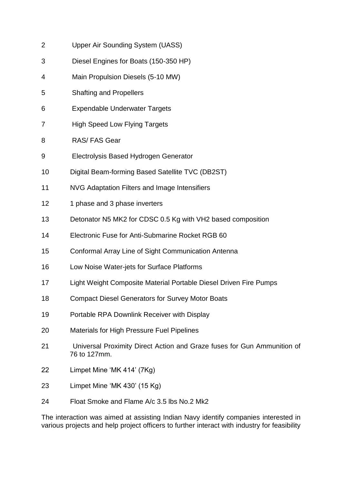- 2 Upper Air Sounding System (UASS)
- 3 Diesel Engines for Boats (150-350 HP)
- 4 Main Propulsion Diesels (5-10 MW)
- 5 Shafting and Propellers
- 6 Expendable Underwater Targets
- 7 High Speed Low Flying Targets
- 8 RAS/ FAS Gear
- 9 Electrolysis Based Hydrogen Generator
- 10 Digital Beam-forming Based Satellite TVC (DB2ST)
- 11 NVG Adaptation Filters and Image Intensifiers
- 12 1 phase and 3 phase inverters
- 13 Detonator N5 MK2 for CDSC 0.5 Kg with VH2 based composition
- 14 Electronic Fuse for Anti-Submarine Rocket RGB 60
- 15 Conformal Array Line of Sight Communication Antenna
- 16 Low Noise Water-jets for Surface Platforms
- 17 Light Weight Composite Material Portable Diesel Driven Fire Pumps
- 18 Compact Diesel Generators for Survey Motor Boats
- 19 Portable RPA Downlink Receiver with Display
- 20 Materials for High Pressure Fuel Pipelines
- 21 Universal Proximity Direct Action and Graze fuses for Gun Ammunition of 76 to 127mm.
- 22 Limpet Mine 'MK 414' (7Kg)
- 23 Limpet Mine 'MK 430' (15 Kg)
- 24 Float Smoke and Flame A/c 3.5 lbs No.2 Mk2

The interaction was aimed at assisting Indian Navy identify companies interested in various projects and help project officers to further interact with industry for feasibility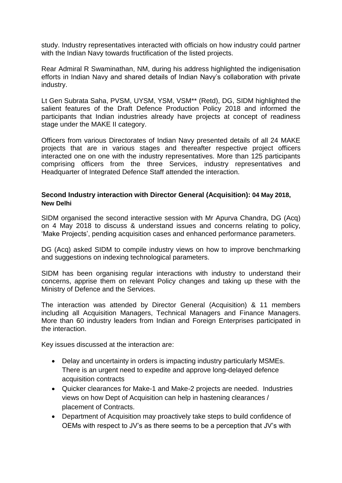study. Industry representatives interacted with officials on how industry could partner with the Indian Navy towards fructification of the listed projects.

Rear Admiral R Swaminathan, NM, during his address highlighted the indigenisation efforts in Indian Navy and shared details of Indian Navy's collaboration with private industry.

Lt Gen Subrata Saha, PVSM, UYSM, YSM, VSM\*\* (Retd), DG, SIDM highlighted the salient features of the Draft Defence Production Policy 2018 and informed the participants that Indian industries already have projects at concept of readiness stage under the MAKE II category.

Officers from various Directorates of Indian Navy presented details of all 24 MAKE projects that are in various stages and thereafter respective project officers interacted one on one with the industry representatives. More than 125 participants comprising officers from the three Services, industry representatives and Headquarter of Integrated Defence Staff attended the interaction.

#### **Second Industry interaction with Director General (Acquisition): 04 May 2018, New Delhi**

SIDM organised the second interactive session with Mr Apurva Chandra, DG (Acq) on 4 May 2018 to discuss & understand issues and concerns relating to policy, 'Make Projects', pending acquisition cases and enhanced performance parameters.

DG (Acq) asked SIDM to compile industry views on how to improve benchmarking and suggestions on indexing technological parameters.

SIDM has been organising regular interactions with industry to understand their concerns, apprise them on relevant Policy changes and taking up these with the Ministry of Defence and the Services.

The interaction was attended by Director General (Acquisition) & 11 members including all Acquisition Managers, Technical Managers and Finance Managers. More than 60 industry leaders from Indian and Foreign Enterprises participated in the interaction.

Key issues discussed at the interaction are:

- Delay and uncertainty in orders is impacting industry particularly MSMEs. There is an urgent need to expedite and approve long-delayed defence acquisition contracts
- Quicker clearances for Make-1 and Make-2 projects are needed. Industries views on how Dept of Acquisition can help in hastening clearances / placement of Contracts.
- Department of Acquisition may proactively take steps to build confidence of OEMs with respect to JV's as there seems to be a perception that JV's with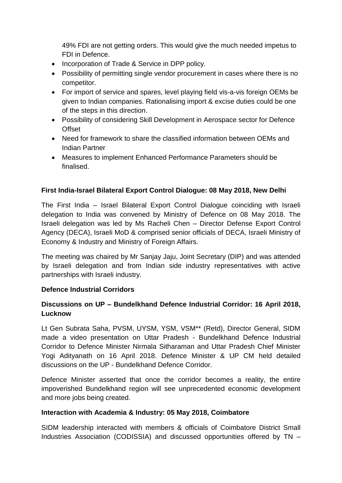49% FDI are not getting orders. This would give the much needed impetus to FDI in Defence.

- Incorporation of Trade & Service in DPP policy.
- Possibility of permitting single vendor procurement in cases where there is no competitor.
- For import of service and spares, level playing field vis-a-vis foreign OEMs be given to Indian companies. Rationalising import & excise duties could be one of the steps in this direction.
- Possibility of considering Skill Development in Aerospace sector for Defence **Offset**
- Need for framework to share the classified information between OEMs and Indian Partner
- Measures to implement Enhanced Performance Parameters should be finalised.

## **First India-Israel Bilateral Export Control Dialogue: 08 May 2018, New Delhi**

The First India – Israel Bilateral Export Control Dialogue coinciding with Israeli delegation to India was convened by Ministry of Defence on 08 May 2018. The Israeli delegation was led by Ms Racheli Chen – Director Defense Export Control Agency (DECA), Israeli MoD & comprised senior officials of DECA, Israeli Ministry of Economy & Industry and Ministry of Foreign Affairs.

The meeting was chaired by Mr Sanjay Jaju, Joint Secretary (DIP) and was attended by Israeli delegation and from Indian side industry representatives with active partnerships with Israeli industry.

## **Defence Industrial Corridors**

# **Discussions on UP – Bundelkhand Defence Industrial Corridor: 16 April 2018, Lucknow**

Lt Gen Subrata Saha, PVSM, UYSM, YSM, VSM\*\* (Retd), Director General, SIDM made a video presentation on Uttar Pradesh - Bundelkhand Defence Industrial Corridor to Defence Minister Nirmala Sitharaman and Uttar Pradesh Chief Minister Yogi Adityanath on 16 April 2018. Defence Minister & UP CM held detailed discussions on the UP - Bundelkhand Defence Corridor.

Defence Minister asserted that once the corridor becomes a reality, the entire impoverished Bundelkhand region will see unprecedented economic development and more jobs being created.

#### **Interaction with Academia & Industry: 05 May 2018, Coimbatore**

SIDM leadership interacted with members & officials of Coimbatore District Small Industries Association (CODISSIA) and discussed opportunities offered by TN –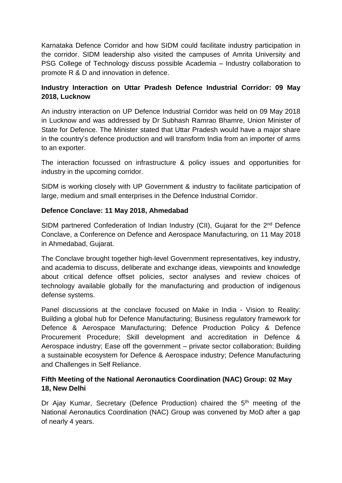Karnataka Defence Corridor and how SIDM could facilitate industry participation in the corridor. SIDM leadership also visited the campuses of Amrita University and PSG College of Technology discuss possible Academia – Industry collaboration to promote R & D and innovation in defence.

# **Industry Interaction on Uttar Pradesh Defence Industrial Corridor: 09 May 2018, Lucknow**

An industry interaction on UP Defence Industrial Corridor was held on 09 May 2018 in Lucknow and was addressed by Dr Subhash Ramrao Bhamre, Union Minister of State for Defence. The Minister stated that Uttar Pradesh would have a major share in the country's defence production and will transform India from an importer of arms to an exporter.

The interaction focussed on infrastructure & policy issues and opportunities for industry in the upcoming corridor.

SIDM is working closely with UP Government & industry to facilitate participation of large, medium and small enterprises in the Defence Industrial Corridor.

## **Defence Conclave: 11 May 2018, Ahmedabad**

SIDM partnered Confederation of Indian Industry (CII), Gujarat for the 2<sup>nd</sup> Defence Conclave, a Conference on Defence and Aerospace Manufacturing, on 11 May 2018 in Ahmedabad, Gujarat.

The Conclave brought together high-level Government representatives, key industry, and academia to discuss, deliberate and exchange ideas, viewpoints and knowledge about critical defence offset policies, sector analyses and review choices of technology available globally for the manufacturing and production of indigenous defense systems.

Panel discussions at the conclave focused on Make in India - Vision to Reality: Building a global hub for Defence Manufacturing; Business regulatory framework for Defence & Aerospace Manufacturing; Defence Production Policy & Defence Procurement Procedure; Skill development and accreditation in Defence & Aerospace industry; Ease off the government – private sector collaboration; Building a sustainable ecosystem for Defence & Aerospace industry; Defence Manufacturing and Challenges in Self Reliance.

# **Fifth Meeting of the National Aeronautics Coordination (NAC) Group: 02 May 18, New Delhi**

Dr Ajay Kumar, Secretary (Defence Production) chaired the 5<sup>th</sup> meeting of the National Aeronautics Coordination (NAC) Group was convened by MoD after a gap of nearly 4 years.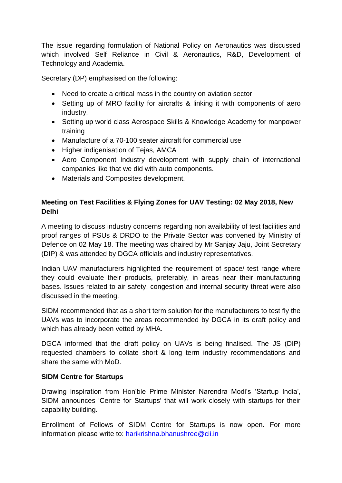The issue regarding formulation of National Policy on Aeronautics was discussed which involved Self Reliance in Civil & Aeronautics, R&D, Development of Technology and Academia.

Secretary (DP) emphasised on the following:

- Need to create a critical mass in the country on aviation sector
- Setting up of MRO facility for aircrafts & linking it with components of aero industry.
- Setting up world class Aerospace Skills & Knowledge Academy for manpower training
- Manufacture of a 70-100 seater aircraft for commercial use
- Higher indigenisation of Tejas, AMCA
- Aero Component Industry development with supply chain of international companies like that we did with auto components.
- Materials and Composites development.

# **Meeting on Test Facilities & Flying Zones for UAV Testing: 02 May 2018, New Delhi**

A meeting to discuss industry concerns regarding non availability of test facilities and proof ranges of PSUs & DRDO to the Private Sector was convened by Ministry of Defence on 02 May 18. The meeting was chaired by Mr Sanjay Jaju, Joint Secretary (DIP) & was attended by DGCA officials and industry representatives.

Indian UAV manufacturers highlighted the requirement of space/ test range where they could evaluate their products, preferably, in areas near their manufacturing bases. Issues related to air safety, congestion and internal security threat were also discussed in the meeting.

SIDM recommended that as a short term solution for the manufacturers to test fly the UAVs was to incorporate the areas recommended by DGCA in its draft policy and which has already been vetted by MHA.

DGCA informed that the draft policy on UAVs is being finalised. The JS (DIP) requested chambers to collate short & long term industry recommendations and share the same with MoD.

## **SIDM Centre for Startups**

Drawing inspiration from Hon'ble Prime Minister Narendra Modi's 'Startup India', SIDM announces 'Centre for Startups' that will work closely with startups for their capability building.

Enrollment of Fellows of SIDM Centre for Startups is now open. For more information please write to: [harikrishna.bhanushree@cii.in](mailto:harikrishna.bhanushree@cii.in)